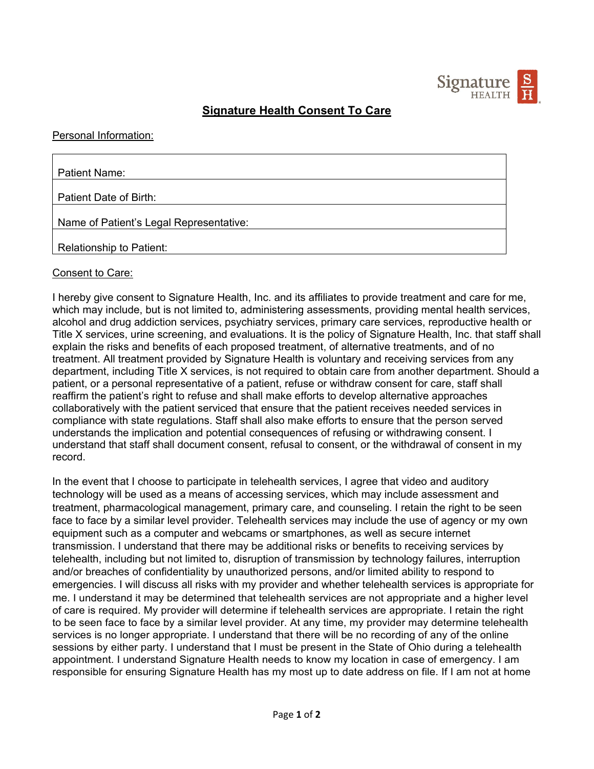

# **Signature Health Consent To Care**

### Personal Information:

| Patient Name:                           |
|-----------------------------------------|
|                                         |
| Patient Date of Birth:                  |
|                                         |
| Name of Patient's Legal Representative: |
|                                         |
| <b>Relationship to Patient:</b>         |

#### Consent to Care:

I hereby give consent to Signature Health, Inc. and its affiliates to provide treatment and care for me, which may include, but is not limited to, administering assessments, providing mental health services, alcohol and drug addiction services, psychiatry services, primary care services, reproductive health or Title X services, urine screening, and evaluations. It is the policy of Signature Health, Inc. that staff shall explain the risks and benefits of each proposed treatment, of alternative treatments, and of no treatment. All treatment provided by Signature Health is voluntary and receiving services from any department, including Title X services, is not required to obtain care from another department. Should a patient, or a personal representative of a patient, refuse or withdraw consent for care, staff shall reaffirm the patient's right to refuse and shall make efforts to develop alternative approaches collaboratively with the patient serviced that ensure that the patient receives needed services in compliance with state regulations. Staff shall also make efforts to ensure that the person served understands the implication and potential consequences of refusing or withdrawing consent. I understand that staff shall document consent, refusal to consent, or the withdrawal of consent in my record.

In the event that I choose to participate in telehealth services, I agree that video and auditory technology will be used as a means of accessing services, which may include assessment and treatment, pharmacological management, primary care, and counseling. I retain the right to be seen face to face by a similar level provider. Telehealth services may include the use of agency or my own equipment such as a computer and webcams or smartphones, as well as secure internet transmission. I understand that there may be additional risks or benefits to receiving services by telehealth, including but not limited to, disruption of transmission by technology failures, interruption and/or breaches of confidentiality by unauthorized persons, and/or limited ability to respond to emergencies. I will discuss all risks with my provider and whether telehealth services is appropriate for me. I understand it may be determined that telehealth services are not appropriate and a higher level of care is required. My provider will determine if telehealth services are appropriate. I retain the right to be seen face to face by a similar level provider. At any time, my provider may determine telehealth services is no longer appropriate. I understand that there will be no recording of any of the online sessions by either party. I understand that I must be present in the State of Ohio during a telehealth appointment. I understand Signature Health needs to know my location in case of emergency. I am responsible for ensuring Signature Health has my most up to date address on file. If I am not at home